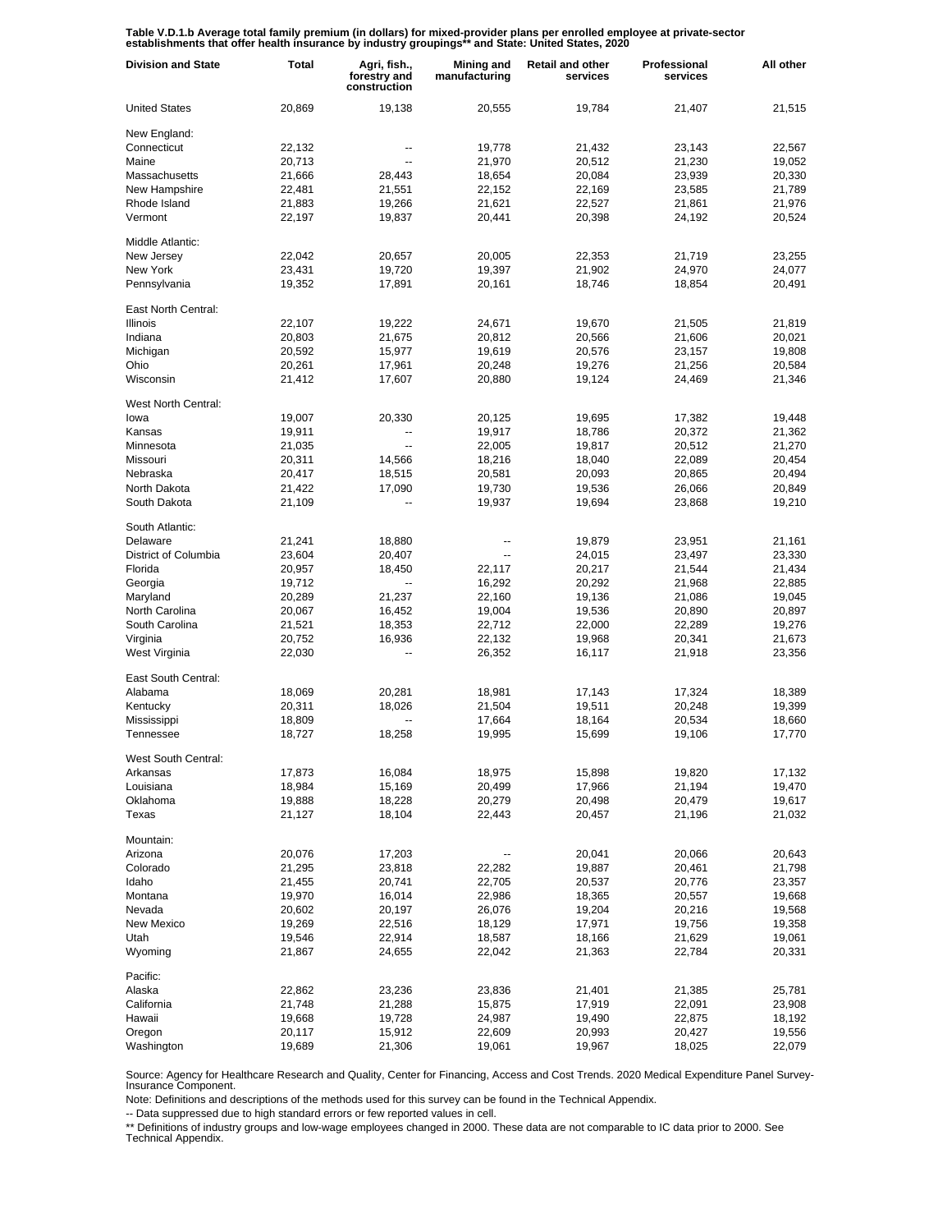Table V.D.1.b Average total family premium (in dollars) for mixed-provider plans per enrolled employee at private-sector<br>establishments that offer health insurance by industry groupings\*\* and State: United States, 2020

| <b>Division and State</b> | <b>Total</b> | Agri, fish.,<br>forestry and<br>construction | Mining and<br>manufacturing | <b>Retail and other</b><br>services | Professional<br>services | All other |
|---------------------------|--------------|----------------------------------------------|-----------------------------|-------------------------------------|--------------------------|-----------|
| <b>United States</b>      | 20,869       | 19,138                                       | 20,555                      | 19,784                              | 21,407                   | 21,515    |
| New England:              |              |                                              |                             |                                     |                          |           |
| Connecticut               | 22,132       | --                                           | 19,778                      | 21,432                              | 23,143                   | 22,567    |
| Maine                     | 20,713       | $\overline{\phantom{a}}$                     | 21,970                      | 20,512                              | 21,230                   | 19,052    |
| Massachusetts             | 21,666       | 28,443                                       | 18,654                      | 20,084                              | 23,939                   | 20,330    |
| New Hampshire             | 22,481       | 21,551                                       | 22,152                      | 22,169                              | 23,585                   | 21,789    |
| Rhode Island              | 21,883       | 19,266                                       | 21,621                      | 22,527                              | 21,861                   | 21,976    |
| Vermont                   | 22,197       | 19,837                                       | 20,441                      | 20,398                              | 24,192                   | 20,524    |
| Middle Atlantic:          |              |                                              |                             |                                     |                          |           |
| New Jersey                | 22,042       | 20,657                                       | 20,005                      | 22,353                              | 21,719                   | 23,255    |
| New York                  | 23,431       | 19,720                                       | 19,397                      | 21,902                              | 24,970                   | 24,077    |
| Pennsylvania              | 19,352       | 17,891                                       | 20,161                      | 18,746                              | 18,854                   | 20,491    |
| East North Central:       |              |                                              |                             |                                     |                          |           |
| <b>Illinois</b>           | 22,107       | 19,222                                       | 24,671                      | 19,670                              | 21,505                   | 21,819    |
| Indiana                   | 20,803       | 21,675                                       | 20,812                      | 20,566                              | 21,606                   | 20,021    |
| Michigan                  | 20,592       | 15,977                                       | 19,619                      | 20,576                              | 23,157                   | 19,808    |
| Ohio                      | 20,261       | 17,961                                       | 20,248                      | 19,276                              | 21,256                   | 20,584    |
| Wisconsin                 | 21,412       | 17,607                                       | 20,880                      | 19,124                              | 24,469                   | 21,346    |
| West North Central:       |              |                                              |                             |                                     |                          |           |
| lowa                      | 19,007       | 20,330                                       | 20,125                      | 19,695                              | 17,382                   | 19,448    |
| Kansas                    | 19,911       | $\overline{\phantom{a}}$                     | 19,917                      | 18,786                              | 20,372                   | 21,362    |
| Minnesota                 | 21,035       | $\overline{\phantom{a}}$                     | 22,005                      | 19,817                              | 20,512                   | 21,270    |
| Missouri                  | 20,311       | 14,566                                       | 18,216                      | 18,040                              | 22,089                   | 20,454    |
| Nebraska                  | 20,417       | 18,515                                       | 20,581                      | 20,093                              | 20,865                   | 20,494    |
| North Dakota              | 21,422       | 17,090                                       | 19,730                      | 19,536                              | 26,066                   | 20,849    |
| South Dakota              | 21,109       | --                                           | 19,937                      | 19,694                              | 23,868                   | 19,210    |
| South Atlantic:           |              |                                              |                             |                                     |                          |           |
| Delaware                  | 21,241       | 18,880                                       |                             | 19,879                              | 23,951                   | 21,161    |
| District of Columbia      | 23,604       | 20,407                                       |                             | 24,015                              | 23,497                   | 23,330    |
| Florida                   | 20,957       | 18,450                                       | 22,117                      | 20,217                              | 21,544                   | 21,434    |
| Georgia                   | 19,712       | $\overline{\phantom{a}}$                     | 16,292                      | 20,292                              | 21,968                   | 22,885    |
| Maryland                  | 20,289       | 21,237                                       | 22,160                      | 19,136                              | 21,086                   | 19,045    |
| North Carolina            | 20,067       | 16,452                                       | 19,004                      | 19,536                              | 20,890                   | 20,897    |
| South Carolina            | 21,521       | 18,353                                       | 22,712                      | 22,000                              | 22,289                   | 19,276    |
| Virginia                  | 20,752       | 16,936                                       | 22,132                      | 19,968                              | 20,341                   | 21,673    |
| West Virginia             | 22,030       | --                                           | 26,352                      | 16,117                              | 21,918                   | 23,356    |
| East South Central:       |              |                                              |                             |                                     |                          |           |
| Alabama                   | 18,069       | 20,281                                       | 18,981                      | 17,143                              | 17,324                   | 18,389    |
| Kentucky                  | 20,311       | 18,026                                       | 21,504                      | 19,511                              | 20,248                   | 19,399    |
| Mississippi               | 18,809       |                                              | 17,664                      | 18,164                              | 20,534                   | 18,660    |
| Tennessee                 | 18,727       | 18,258                                       | 19,995                      | 15,699                              | 19,106                   | 17,770    |
| West South Central:       |              |                                              |                             |                                     |                          |           |
| Arkansas                  | 17,873       | 16,084                                       | 18,975                      | 15,898                              | 19,820                   | 17,132    |
| Louisiana                 | 18,984       | 15,169                                       | 20,499                      | 17,966                              | 21,194                   | 19,470    |
| Oklahoma                  | 19,888       | 18,228                                       | 20,279                      | 20,498                              | 20,479                   | 19,617    |
| Texas                     | 21,127       | 18,104                                       | 22,443                      | 20,457                              | 21,196                   | 21,032    |
| Mountain:                 |              |                                              |                             |                                     |                          |           |
| Arizona                   | 20,076       | 17,203                                       |                             | 20,041                              | 20,066                   | 20,643    |
| Colorado                  | 21,295       | 23,818                                       | 22,282                      | 19,887                              | 20,461                   | 21,798    |
| Idaho                     | 21,455       | 20,741                                       | 22,705                      | 20,537                              | 20,776                   | 23,357    |
| Montana                   | 19,970       | 16,014                                       | 22,986                      | 18,365                              | 20,557                   | 19,668    |
| Nevada                    | 20,602       | 20,197                                       | 26,076                      | 19,204                              | 20,216                   | 19,568    |
| New Mexico                | 19,269       | 22,516                                       | 18,129                      | 17,971                              | 19,756                   | 19,358    |
| Utah                      | 19,546       | 22,914                                       | 18,587                      | 18,166                              | 21,629                   | 19,061    |
| Wyoming                   | 21,867       | 24,655                                       | 22,042                      | 21,363                              | 22,784                   | 20,331    |
| Pacific:                  |              |                                              |                             |                                     |                          |           |
| Alaska                    | 22,862       | 23,236                                       | 23,836                      | 21,401                              | 21,385                   | 25,781    |
| California                | 21,748       | 21,288                                       | 15,875                      | 17,919                              | 22,091                   | 23,908    |
| Hawaii                    | 19,668       | 19,728                                       | 24,987                      | 19,490                              | 22,875                   | 18,192    |
| Oregon                    | 20,117       | 15,912                                       | 22,609                      | 20,993                              | 20,427                   | 19,556    |
| Washington                | 19,689       | 21,306                                       | 19,061                      | 19,967                              | 18,025                   | 22,079    |

Source: Agency for Healthcare Research and Quality, Center for Financing, Access and Cost Trends. 2020 Medical Expenditure Panel Survey-Insurance Component.

Note: Definitions and descriptions of the methods used for this survey can be found in the Technical Appendix.

-- Data suppressed due to high standard errors or few reported values in cell.

\*\* Definitions of industry groups and low-wage employees changed in 2000. These data are not comparable to IC data prior to 2000. See Technical Appendix.